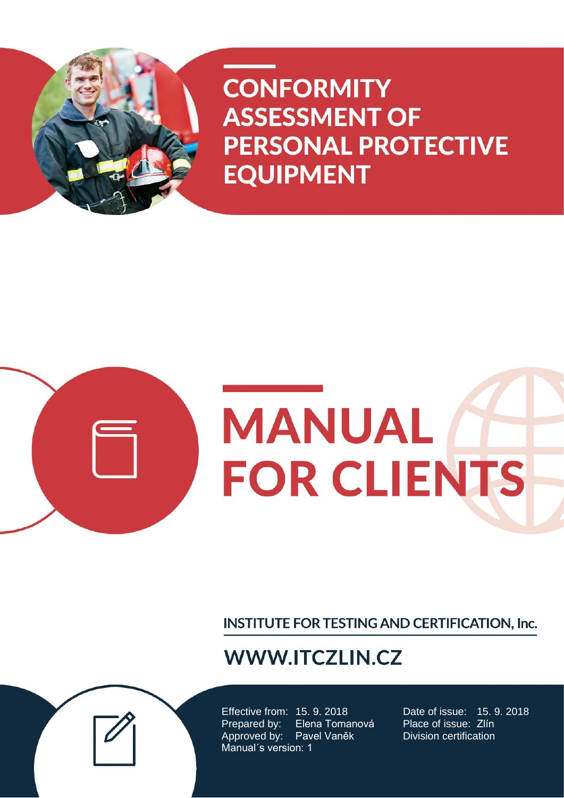



INSTITUTE FOR TESTING AND CERTIFICATION, Inc.

# **WWW.ITCZLIN.CZ**

Effective from: 15. 9. 2018 Date of issue: 15. 9. 2018<br>Prepared by: Elena Tomanová Place of issue: Zlín Prepared by: Elena Tomanová Approved by: Pavel Vaněk Division certification Manual´s version: 1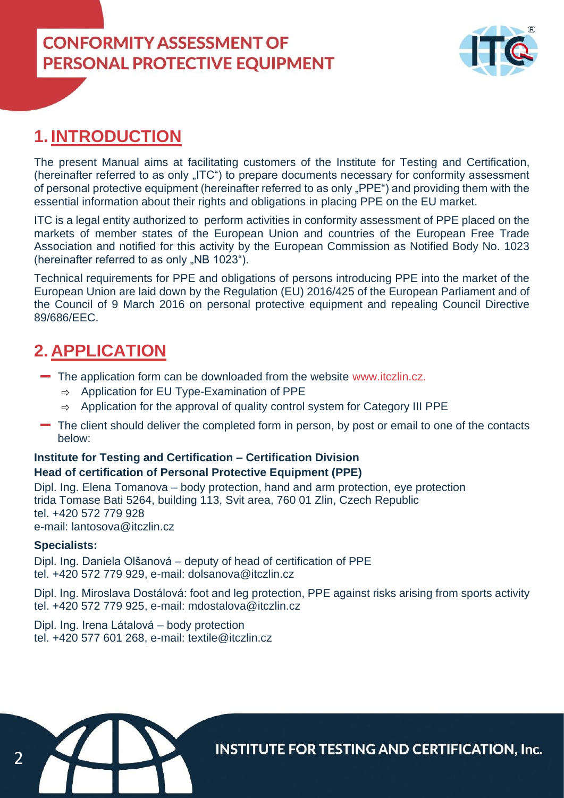

### **1. INTRODUCTION**

The present Manual aims at facilitating customers of the Institute for Testing and Certification, (hereinafter referred to as only "ITC") to prepare documents necessary for conformity assessment of personal protective equipment (hereinafter referred to as only "PPE") and providing them with the essential information about their rights and obligations in placing PPE on the EU market.

ITC is a legal entity authorized to perform activities in conformity assessment of PPE placed on the markets of member states of the European Union and countries of the European Free Trade Association and notified for this activity by the European Commission as Notified Body No. 1023 (hereinafter referred to as only "NB 1023").

Technical requirements for PPE and obligations of persons introducing PPE into the market of the European Union are laid down by the Regulation (EU) 2016/425 of the European Parliament and of the Council of 9 March 2016 on personal protective equipment and repealing Council Directive 89/686/EEC.

### **2. APPLICATION**

- The application form can be downloaded from the website www.itczlin.cz.
	- $\Rightarrow$  Application for EU Type-Examination of PPE
	- $\Rightarrow$  Application for the approval of quality control system for Category III PPE
- The client should deliver the completed form in person, by post or email to one of the contacts below:

### **Institute for Testing and Certification – Certification Division Head of certification of Personal Protective Equipment (PPE)**

Dipl. Ing. Elena Tomanova – body protection, hand and arm protection, eye protection trida Tomase Bati 5264, building 113, Svit area, 760 01 Zlin, Czech Republic tel. +420 572 779 928 e-mail: lantosova@itczlin.cz

#### **Specialists:**

Dipl. Ing. Daniela Olšanová – deputy of head of certification of PPE tel. +420 572 779 929, e-mail: dolsanova@itczlin.cz

Dipl. Ing. Miroslava Dostálová: foot and leg protection, PPE against risks arising from sports activity tel. +420 572 779 925, e-mail: mdostalova@itczlin.cz

Dipl. Ing. Irena Látalová – body protection tel. +420 577 601 268, e-mail: textile@itczlin.cz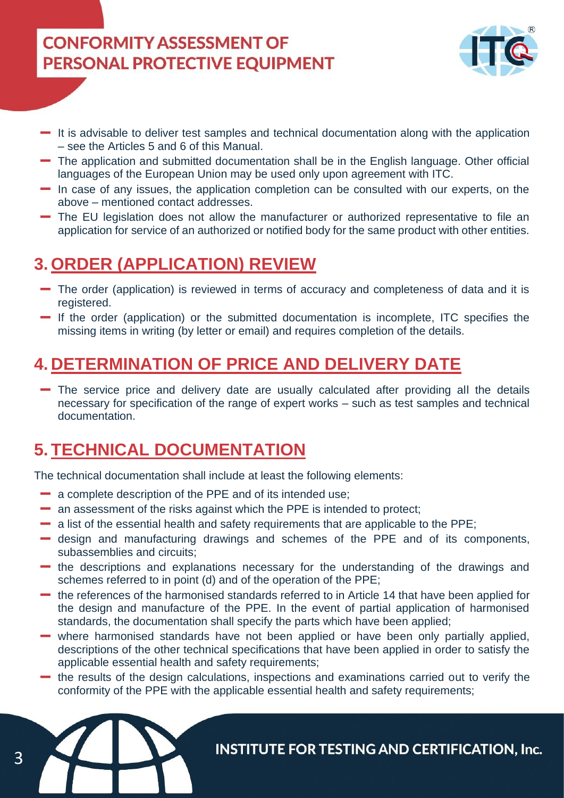

- $\blacksquare$  It is advisable to deliver test samples and technical documentation along with the application – see the Articles 5 and 6 of this Manual.
- The application and submitted documentation shall be in the English language. Other official languages of the European Union may be used only upon agreement with ITC.
- In case of any issues, the application completion can be consulted with our experts, on the above – mentioned contact addresses.
- The EU legislation does not allow the manufacturer or authorized representative to file an application for service of an authorized or notified body for the same product with other entities.

# **3. ORDER (APPLICATION) REVIEW**

- The order (application) is reviewed in terms of accuracy and completeness of data and it is registered.
- If the order (application) or the submitted documentation is incomplete, ITC specifies the missing items in writing (by letter or email) and requires completion of the details.

## **4. DETERMINATION OF PRICE AND DELIVERY DATE**

The service price and delivery date are usually calculated after providing all the details necessary for specification of the range of expert works – such as test samples and technical documentation.

## **5. TECHNICAL DOCUMENTATION**

The technical documentation shall include at least the following elements:

- a complete description of the PPE and of its intended use;
- an assessment of the risks against which the PPE is intended to protect;
- a list of the essential health and safety requirements that are applicable to the PPE;
- design and manufacturing drawings and schemes of the PPE and of its components, subassemblies and circuits;
- the descriptions and explanations necessary for the understanding of the drawings and schemes referred to in point (d) and of the operation of the PPE;
- the references of the harmonised standards referred to in Article 14 that have been applied for the design and manufacture of the PPE. In the event of partial application of harmonised standards, the documentation shall specify the parts which have been applied;
- where harmonised standards have not been applied or have been only partially applied, descriptions of the other technical specifications that have been applied in order to satisfy the applicable essential health and safety requirements;
- the results of the design calculations, inspections and examinations carried out to verify the conformity of the PPE with the applicable essential health and safety requirements;



3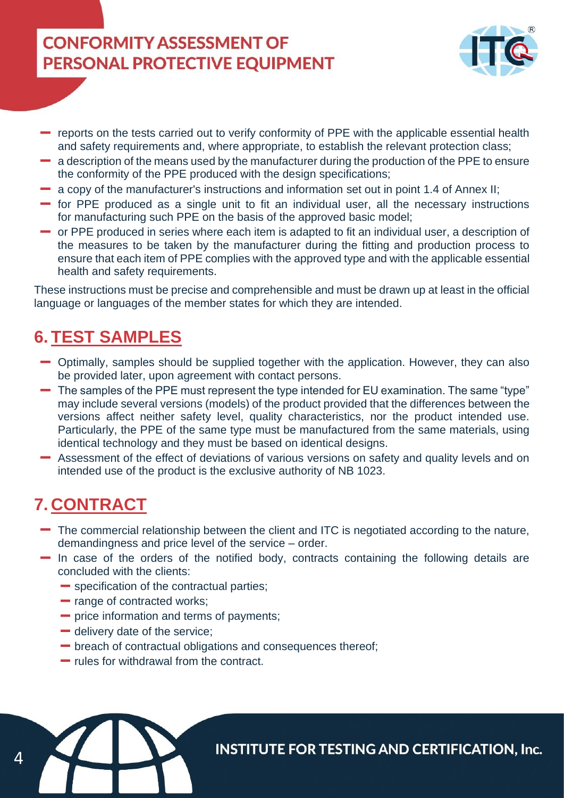

- reports on the tests carried out to verify conformity of PPE with the applicable essential health and safety requirements and, where appropriate, to establish the relevant protection class;
- a description of the means used by the manufacturer during the production of the PPE to ensure the conformity of the PPE produced with the design specifications;
- a copy of the manufacturer's instructions and information set out in point 1.4 of Annex II;
- $\blacksquare$  for PPE produced as a single unit to fit an individual user, all the necessary instructions for manufacturing such PPE on the basis of the approved basic model;
- or PPE produced in series where each item is adapted to fit an individual user, a description of the measures to be taken by the manufacturer during the fitting and production process to ensure that each item of PPE complies with the approved type and with the applicable essential health and safety requirements.

These instructions must be precise and comprehensible and must be drawn up at least in the official language or languages of the member states for which they are intended.

## **6. TEST SAMPLES**

- Optimally, samples should be supplied together with the application. However, they can also be provided later, upon agreement with contact persons.
- The samples of the PPE must represent the type intended for EU examination. The same "type" may include several versions (models) of the product provided that the differences between the versions affect neither safety level, quality characteristics, nor the product intended use. Particularly, the PPE of the same type must be manufactured from the same materials, using identical technology and they must be based on identical designs.
- Assessment of the effect of deviations of various versions on safety and quality levels and on intended use of the product is the exclusive authority of NB 1023.

# **7. CONTRACT**

 $\varDelta$ 

- The commercial relationship between the client and ITC is negotiated according to the nature, demandingness and price level of the service – order.
- $\blacksquare$  In case of the orders of the notified body, contracts containing the following details are concluded with the clients:
	- **Specification of the contractual parties;**
	- range of contracted works;
	- **-** price information and terms of payments;
	- $\blacksquare$  delivery date of the service;
	- breach of contractual obligations and consequences thereof;
	- $-$  rules for withdrawal from the contract.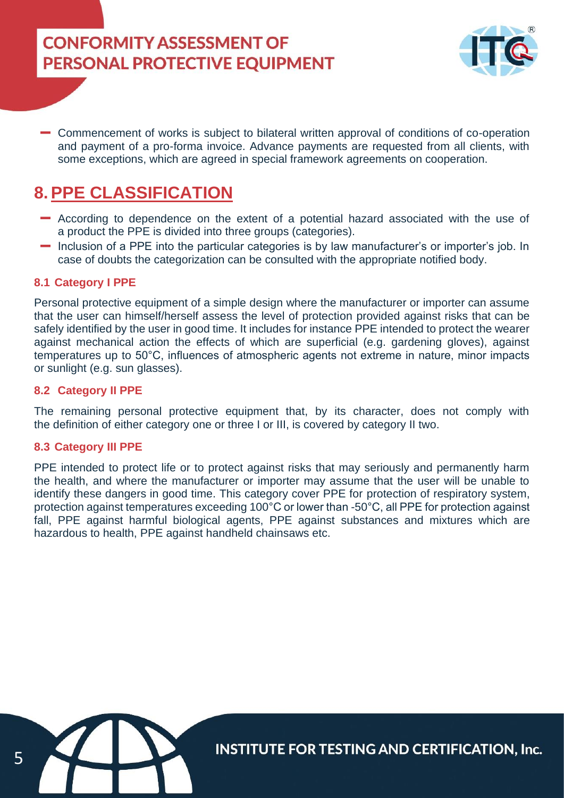

Commencement of works is subject to bilateral written approval of conditions of co-operation and payment of a pro-forma invoice. Advance payments are requested from all clients, with some exceptions, which are agreed in special framework agreements on cooperation.

## **8.PPE CLASSIFICATION**

- According to dependence on the extent of a potential hazard associated with the use of a product the PPE is divided into three groups (categories).
- Inclusion of a PPE into the particular categories is by law manufacturer's or importer's job. In case of doubts the categorization can be consulted with the appropriate notified body.

### **8.1 Category I PPE**

Personal protective equipment of a simple design where the manufacturer or importer can assume that the user can himself/herself assess the level of protection provided against risks that can be safely identified by the user in good time. It includes for instance PPE intended to protect the wearer against mechanical action the effects of which are superficial (e.g. gardening gloves), against temperatures up to 50°C, influences of atmospheric agents not extreme in nature, minor impacts or sunlight (e.g. sun glasses).

### **8.2 Category II PPE**

The remaining personal protective equipment that, by its character, does not comply with the definition of either category one or three I or III, is covered by category II two.

### **8.3 Category III PPE**

PPE intended to protect life or to protect against risks that may seriously and permanently harm the health, and where the manufacturer or importer may assume that the user will be unable to identify these dangers in good time. This category cover PPE for protection of respiratory system, protection against temperatures exceeding 100°C or lower than -50°C, all PPE for protection against fall, PPE against harmful biological agents, PPE against substances and mixtures which are hazardous to health, PPE against handheld chainsaws etc.

5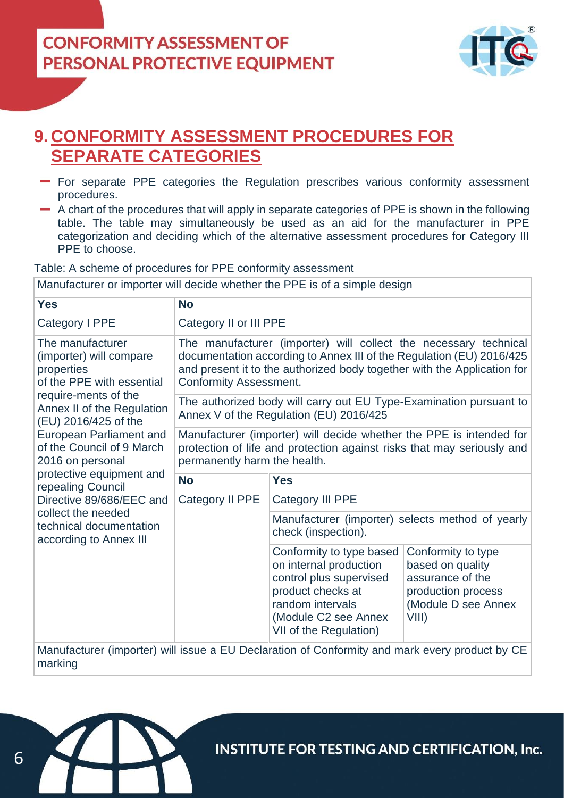

## **9. CONFORMITY ASSESSMENT PROCEDURES FOR SEPARATE CATEGORIES**

- For separate PPE categories the Regulation prescribes various conformity assessment procedures.
- A chart of the procedures that will apply in separate categories of PPE is shown in the following table. The table may simultaneously be used as an aid for the manufacturer in PPE categorization and deciding which of the alternative assessment procedures for Category III PPE to choose.

Table: A scheme of procedures for PPE conformity assessment

Manufacturer or importer will decide whether the PPE is of a simple design

| <b>Yes</b>                                                                                                                                                                                                                                                                                                                                                                                                      | <b>No</b>                                                                                                                                                                                                                                            |                                                                                                                                                                          |                                                                                                                  |
|-----------------------------------------------------------------------------------------------------------------------------------------------------------------------------------------------------------------------------------------------------------------------------------------------------------------------------------------------------------------------------------------------------------------|------------------------------------------------------------------------------------------------------------------------------------------------------------------------------------------------------------------------------------------------------|--------------------------------------------------------------------------------------------------------------------------------------------------------------------------|------------------------------------------------------------------------------------------------------------------|
| Category I PPE                                                                                                                                                                                                                                                                                                                                                                                                  | Category II or III PPE                                                                                                                                                                                                                               |                                                                                                                                                                          |                                                                                                                  |
| The manufacturer<br>(importer) will compare<br>properties<br>of the PPE with essential<br>require-ments of the<br>Annex II of the Regulation<br>(EU) 2016/425 of the<br><b>European Parliament and</b><br>of the Council of 9 March<br>2016 on personal<br>protective equipment and<br>repealing Council<br>Directive 89/686/EEC and<br>collect the needed<br>technical documentation<br>according to Annex III | The manufacturer (importer) will collect the necessary technical<br>documentation according to Annex III of the Regulation (EU) 2016/425<br>and present it to the authorized body together with the Application for<br><b>Conformity Assessment.</b> |                                                                                                                                                                          |                                                                                                                  |
|                                                                                                                                                                                                                                                                                                                                                                                                                 | The authorized body will carry out EU Type-Examination pursuant to<br>Annex V of the Regulation (EU) 2016/425                                                                                                                                        |                                                                                                                                                                          |                                                                                                                  |
|                                                                                                                                                                                                                                                                                                                                                                                                                 | Manufacturer (importer) will decide whether the PPE is intended for<br>protection of life and protection against risks that may seriously and<br>permanently harm the health.                                                                        |                                                                                                                                                                          |                                                                                                                  |
|                                                                                                                                                                                                                                                                                                                                                                                                                 | <b>No</b>                                                                                                                                                                                                                                            | <b>Yes</b>                                                                                                                                                               |                                                                                                                  |
|                                                                                                                                                                                                                                                                                                                                                                                                                 | Category II PPE                                                                                                                                                                                                                                      | <b>Category III PPE</b>                                                                                                                                                  |                                                                                                                  |
|                                                                                                                                                                                                                                                                                                                                                                                                                 |                                                                                                                                                                                                                                                      | Manufacturer (importer) selects method of yearly<br>check (inspection).                                                                                                  |                                                                                                                  |
|                                                                                                                                                                                                                                                                                                                                                                                                                 |                                                                                                                                                                                                                                                      | Conformity to type based<br>on internal production<br>control plus supervised<br>product checks at<br>random intervals<br>(Module C2 see Annex<br>VII of the Regulation) | Conformity to type<br>based on quality<br>assurance of the<br>production process<br>(Module D see Annex<br>VIII) |
| Manufacturer (importer) will issue a EU Declaration of Conformity and mark every product by CE<br>marking                                                                                                                                                                                                                                                                                                       |                                                                                                                                                                                                                                                      |                                                                                                                                                                          |                                                                                                                  |

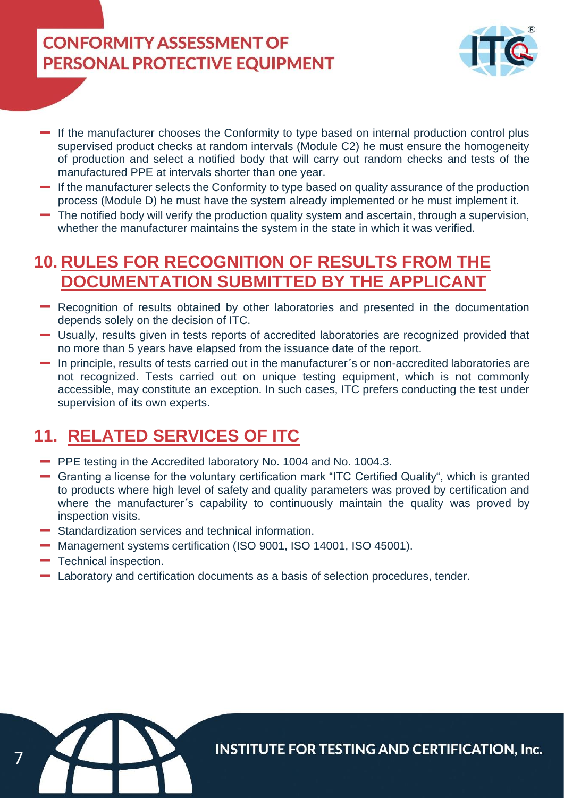

- If the manufacturer chooses the Conformity to type based on internal production control plus supervised product checks at random intervals (Module C2) he must ensure the homogeneity of production and select a notified body that will carry out random checks and tests of the manufactured PPE at intervals shorter than one year.
- If the manufacturer selects the Conformity to type based on quality assurance of the production process (Module D) he must have the system already implemented or he must implement it.
- The notified body will verify the production quality system and ascertain, through a supervision, whether the manufacturer maintains the system in the state in which it was verified.

## **10. RULES FOR RECOGNITION OF RESULTS FROM THE DOCUMENTATION SUBMITTED BY THE APPLICANT**

- Recognition of results obtained by other laboratories and presented in the documentation depends solely on the decision of ITC.
- Usually, results given in tests reports of accredited laboratories are recognized provided that no more than 5 years have elapsed from the issuance date of the report.
- In principle, results of tests carried out in the manufacturer´s or non-accredited laboratories are not recognized. Tests carried out on unique testing equipment, which is not commonly accessible, may constitute an exception. In such cases, ITC prefers conducting the test under supervision of its own experts.

# **11. RELATED SERVICES OF ITC**

- **-** PPE testing in the Accredited laboratory No. 1004 and No. 1004.3.
- Granting a license for the voluntary certification mark "ITC Certified Quality", which is granted to products where high level of safety and quality parameters was proved by certification and where the manufacturer's capability to continuously maintain the quality was proved by inspection visits.
- Standardization services and technical information.
- Management systems certification (ISO 9001, ISO 14001, ISO 45001).
- $-$  Technical inspection.

7

Laboratory and certification documents as a basis of selection procedures, tender.

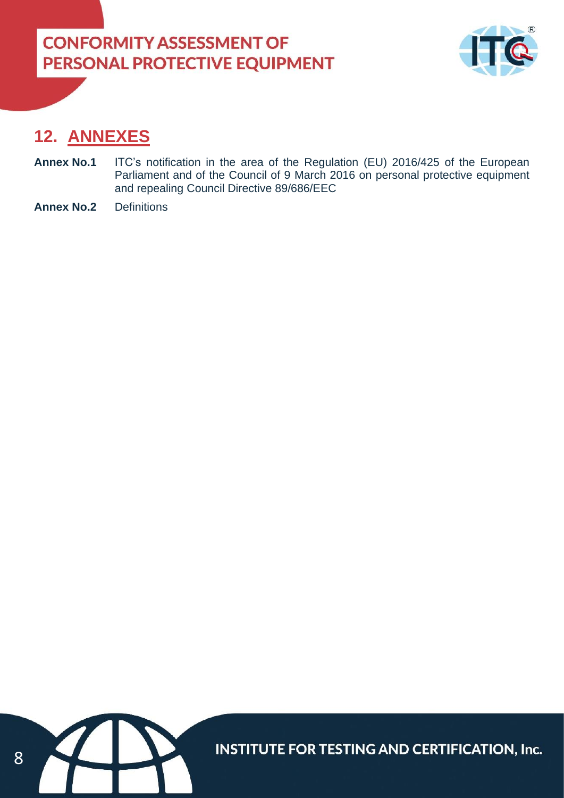

### **12. ANNEXES**

- **Annex No.1** ITC's notification in the area of the Regulation (EU) 2016/425 of the European Parliament and of the Council of 9 March 2016 on personal protective equipment and repealing Council Directive 89/686/EEC
- **Annex No.2** Definitions

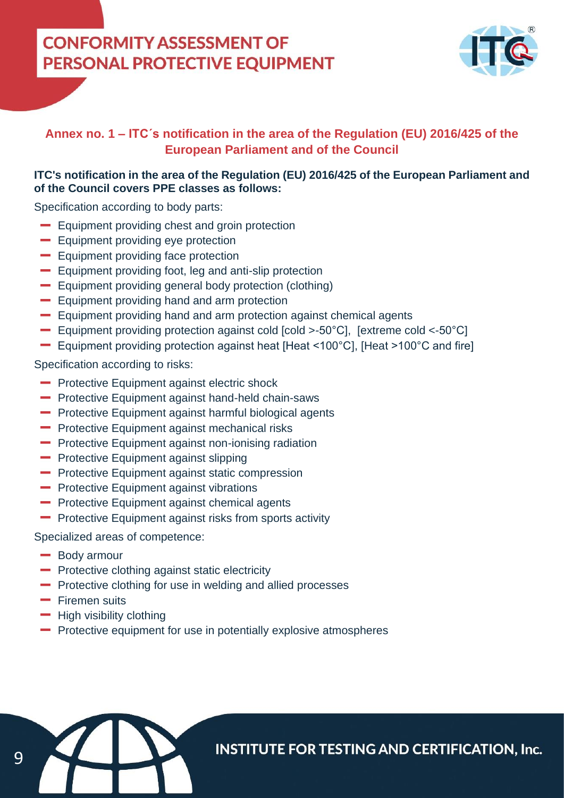

### **Annex no. 1 – ITC´s notification in the area of the Regulation (EU) 2016/425 of the European Parliament and of the Council**

### **ITC's notification in the area of the Regulation (EU) 2016/425 of the European Parliament and of the Council covers PPE classes as follows:**

Specification according to body parts:

- **Equipment providing chest and groin protection**
- **Equipment providing eye protection**
- **Equipment providing face protection**
- **Equipment providing foot, leg and anti-slip protection**
- Equipment providing general body protection (clothing)
- **Equipment providing hand and arm protection**
- Equipment providing hand and arm protection against chemical agents
- Equipment providing protection against cold [cold >-50°C], [extreme cold <-50°C]
- Equipment providing protection against heat [Heat <100°C], [Heat >100°C and fire]

Specification according to risks:

- **-** Protective Equipment against electric shock
- **-** Protective Equipment against hand-held chain-saws
- **-** Protective Equipment against harmful biological agents
- **-** Protective Equipment against mechanical risks
- **-** Protective Equipment against non-ionising radiation
- **-** Protective Equipment against slipping
- **-** Protective Equipment against static compression
- **-** Protective Equipment against vibrations
- **-** Protective Equipment against chemical agents
- **-** Protective Equipment against risks from sports activity

Specialized areas of competence:

- **Body armour**
- **-** Protective clothing against static electricity
- **-** Protective clothing for use in welding and allied processes
- **-** Firemen suits
- $-$  High visibility clothing
- **-** Protective equipment for use in potentially explosive atmospheres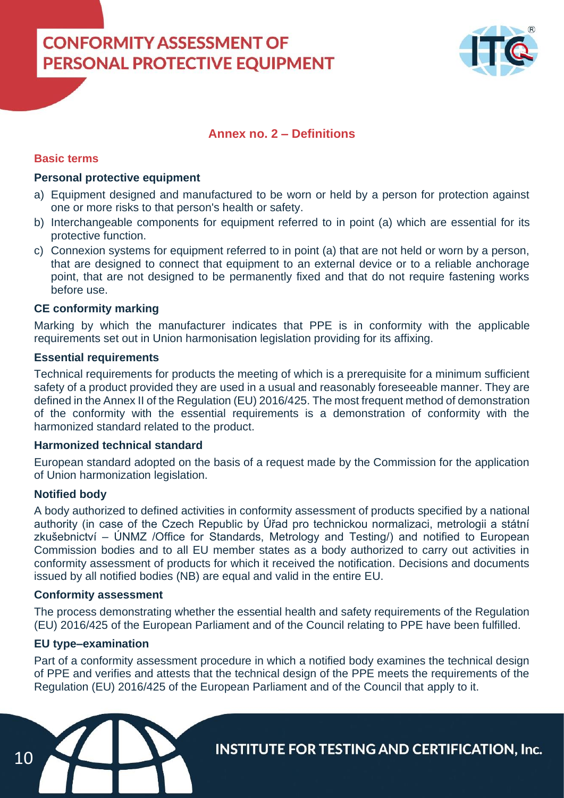

### **Annex no. 2 – Definitions**

#### **Basic terms**

#### **Personal protective equipment**

- a) Equipment designed and manufactured to be worn or held by a person for protection against one or more risks to that person's health or safety.
- b) Interchangeable components for equipment referred to in point (a) which are essential for its protective function.
- c) Connexion systems for equipment referred to in point (a) that are not held or worn by a person, that are designed to connect that equipment to an external device or to a reliable anchorage point, that are not designed to be permanently fixed and that do not require fastening works before use.

#### **CE conformity marking**

Marking by which the manufacturer indicates that PPE is in conformity with the applicable requirements set out in Union harmonisation legislation providing for its affixing.

#### **Essential requirements**

Technical requirements for products the meeting of which is a prerequisite for a minimum sufficient safety of a product provided they are used in a usual and reasonably foreseeable manner. They are defined in the Annex II of the Regulation (EU) 2016/425. The most frequent method of demonstration of the conformity with the essential requirements is a demonstration of conformity with the harmonized standard related to the product.

#### **Harmonized technical standard**

European standard adopted on the basis of a request made by the Commission for the application of Union harmonization legislation.

#### **Notified body**

A body authorized to defined activities in conformity assessment of products specified by a national authority (in case of the Czech Republic by Úřad pro technickou normalizaci, metrologii a státní zkušebnictví – ÚNMZ /Office for Standards, Metrology and Testing/) and notified to European Commission bodies and to all EU member states as a body authorized to carry out activities in conformity assessment of products for which it received the notification. Decisions and documents issued by all notified bodies (NB) are equal and valid in the entire EU.

#### **Conformity assessment**

The process demonstrating whether the essential health and safety requirements of the Regulation (EU) 2016/425 of the European Parliament and of the Council relating to PPE have been fulfilled.

#### **EU type–examination**

Part of a conformity assessment procedure in which a notified body examines the technical design of PPE and verifies and attests that the technical design of the PPE meets the requirements of the Regulation (EU) 2016/425 of the European Parliament and of the Council that apply to it.